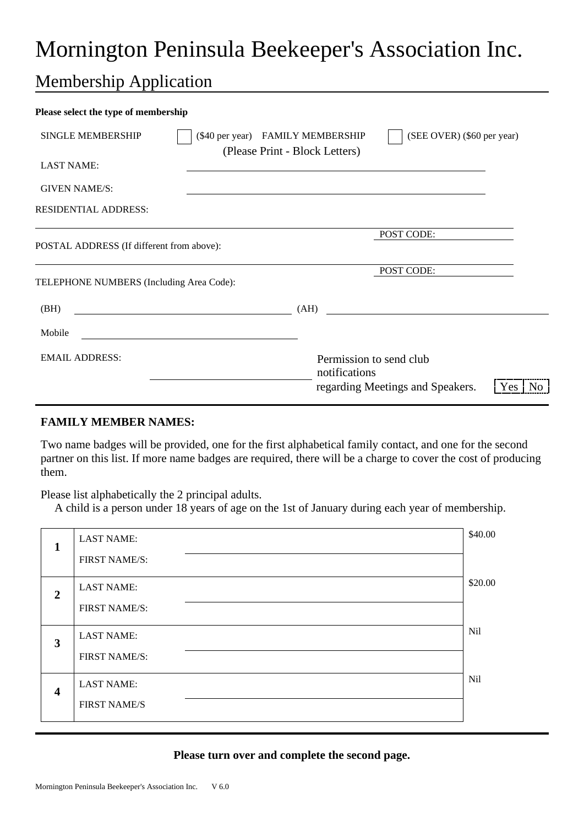# Mornington Peninsula Beekeeper's Association Inc.

## Membership Application

| Please select the type of membership      |                                                                       |                                                           |  |  |  |  |
|-------------------------------------------|-----------------------------------------------------------------------|-----------------------------------------------------------|--|--|--|--|
| <b>SINGLE MEMBERSHIP</b>                  | (\$40 per year) FAMILY MEMBERSHIP<br>(Please Print - Block Letters)   | (SEE OVER) (\$60 per year)                                |  |  |  |  |
| <b>LAST NAME:</b>                         |                                                                       |                                                           |  |  |  |  |
| <b>GIVEN NAME/S:</b>                      |                                                                       |                                                           |  |  |  |  |
| <b>RESIDENTIAL ADDRESS:</b>               |                                                                       |                                                           |  |  |  |  |
| POSTAL ADDRESS (If different from above): | POST CODE:                                                            |                                                           |  |  |  |  |
| TELEPHONE NUMBERS (Including Area Code):  | POST CODE:                                                            |                                                           |  |  |  |  |
| (BH)                                      | (AH)<br><u> 1989 - Johann Barn, fransk politik fotograf (d. 1989)</u> |                                                           |  |  |  |  |
| Mobile                                    |                                                                       |                                                           |  |  |  |  |
| <b>EMAIL ADDRESS:</b>                     | Permission to send club<br>notifications                              | regarding Meetings and Speakers.<br>N <sub>0</sub><br>Yes |  |  |  |  |

#### **FAMILY MEMBER NAMES:**

Two name badges will be provided, one for the first alphabetical family contact, and one for the second partner on this list. If more name badges are required, there will be a charge to cover the cost of producing them.

Please list alphabetically the 2 principal adults.

A child is a person under 18 years of age on the 1st of January during each year of membership.

| 1                       | <b>LAST NAME:</b>    | \$40.00 |
|-------------------------|----------------------|---------|
|                         | <b>FIRST NAME/S:</b> |         |
| $\overline{2}$          | <b>LAST NAME:</b>    | \$20.00 |
|                         | FIRST NAME/S:        |         |
| 3                       | <b>LAST NAME:</b>    | Nil     |
|                         | FIRST NAME/S:        |         |
| $\overline{\mathbf{4}}$ | <b>LAST NAME:</b>    | Nil     |
|                         | <b>FIRST NAME/S</b>  |         |

#### **Please turn over and complete the second page.**